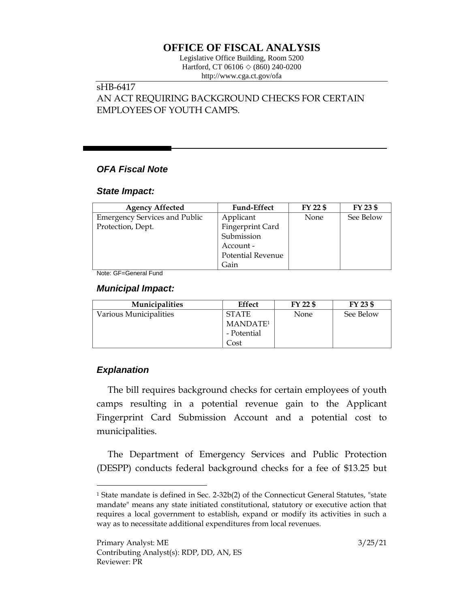# **OFFICE OF FISCAL ANALYSIS**

Legislative Office Building, Room 5200 Hartford, CT 06106  $\Diamond$  (860) 240-0200 http://www.cga.ct.gov/ofa

#### sHB-6417 AN ACT REQUIRING BACKGROUND CHECKS FOR CERTAIN EMPLOYEES OF YOUTH CAMPS.

### *OFA Fiscal Note*

#### *State Impact:*

| <b>Agency Affected</b>               | <b>Fund-Effect</b> | $FY$ 22 \$ | $FY$ 23 \$ |
|--------------------------------------|--------------------|------------|------------|
| <b>Emergency Services and Public</b> | Applicant          | None       | See Below  |
| Protection, Dept.                    | Fingerprint Card   |            |            |
|                                      | Submission         |            |            |
|                                      | Account -          |            |            |
|                                      | Potential Revenue  |            |            |
|                                      | Gain               |            |            |

Note: GF=General Fund

#### *Municipal Impact:*

| <b>Municipalities</b>  | Effect               | FY 22 \$    | FY 23 \$  |
|------------------------|----------------------|-------------|-----------|
| Various Municipalities | <b>STATE</b>         | <b>None</b> | See Below |
|                        | MANDATE <sup>1</sup> |             |           |
|                        | - Potential          |             |           |
|                        | .`ost                |             |           |

## *Explanation*

 $\overline{a}$ 

The bill requires background checks for certain employees of youth camps resulting in a potential revenue gain to the Applicant Fingerprint Card Submission Account and a potential cost to municipalities.

The Department of Emergency Services and Public Protection (DESPP) conducts federal background checks for a fee of \$13.25 but

<sup>1</sup> State mandate is defined in Sec. 2-32b(2) of the Connecticut General Statutes, "state mandate" means any state initiated constitutional, statutory or executive action that requires a local government to establish, expand or modify its activities in such a way as to necessitate additional expenditures from local revenues.